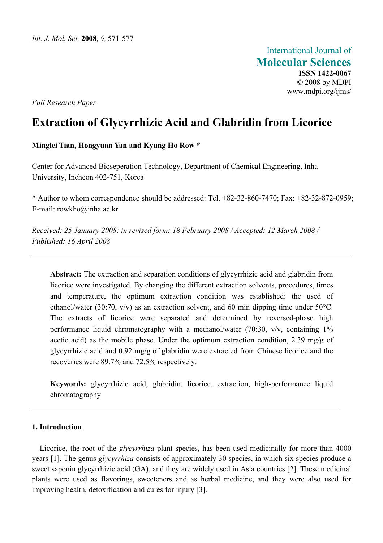International Journal of **Molecular Sciences ISSN 1422-0067**  © 2008 by MDPI www.mdpi.org/ijms/

*Full Research Paper* 

# **Extraction of Glycyrrhizic Acid and Glabridin from Licorice**

### **Minglei Tian, Hongyuan Yan and Kyung Ho Row \***

Center for Advanced Bioseperation Technology, Department of Chemical Engineering, Inha University, Incheon 402-751, Korea

\* Author to whom correspondence should be addressed: Tel. +82-32-860-7470; Fax: +82-32-872-0959; E-mail: [rowkho@inha.ac.kr](mailto:rowkho@inha.ac.kr) 

*Received: 25 January 2008; in revised form: 18 February 2008 / Accepted: 12 March 2008 / Published: 16 April 2008* 

**Abstract:** The extraction and separation conditions of glycyrrhizic acid and glabridin from licorice were investigated. By changing the different extraction solvents, procedures, times and temperature, the optimum extraction condition was established: the used of ethanol/water (30:70, v/v) as an extraction solvent, and 60 min dipping time under 50°C. The extracts of licorice were separated and determined by reversed-phase high performance liquid chromatography with a methanol/water (70:30, v/v, containing 1% acetic acid) as the mobile phase. Under the optimum extraction condition, 2.39 mg/g of glycyrrhizic acid and 0.92 mg/g of glabridin were extracted from Chinese licorice and the recoveries were 89.7% and 72.5% respectively.

**Keywords:** glycyrrhizic acid, glabridin, licorice, extraction, high-performance liquid chromatography

## **1. Introduction**

Licorice, the root of the *glycyrrhiza* plant species, has been used medicinally for more than 4000 years [1]. The genus *glycyrrhiza* consists of approximately 30 species, in which six species produce a sweet saponin glycyrrhizic acid (GA), and they are widely used in Asia countries [2]. These medicinal plants were used as flavorings, sweeteners and as herbal medicine, and they were also used for improving health, detoxification and cures for injury [3].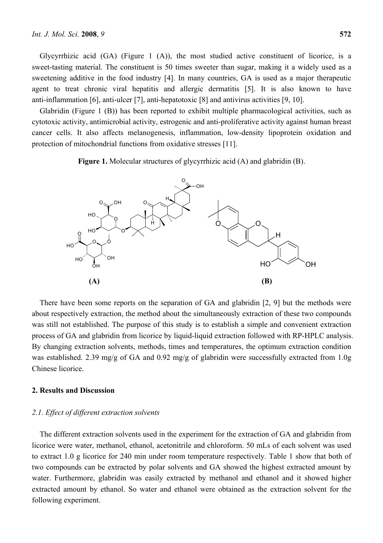Glycyrrhizic acid (GA) (Figure 1 (A)), the most studied active constituent of licorice, is a sweet-tasting material. The constituent is 50 times sweeter than sugar, making it a widely used as a sweetening additive in the food industry [4]. In many countries, GA is used as a major therapeutic agent to treat chronic viral hepatitis and allergic dermatitis [5]. It is also known to have anti-inflammation [6], anti-ulcer [7], anti-hepatotoxic [8] and antivirus activities [9, 10].

Glabridin (Figure 1 (B)) has been reported to exhibit multiple pharmacological activities, such as cytotoxic activity, antimicrobial activity, estrogenic and anti-proliferative activity against human breast cancer cells. It also affects melanogenesis, inflammation, low-density lipoprotein oxidation and protection of mitochondrial functions from oxidative stresses [11].

**Figure 1.** Molecular structures of glycyrrhizic acid (A) and glabridin (B).



There have been some reports on the separation of GA and glabridin [2, 9] but the methods were about respectively extraction, the method about the simultaneously extraction of these two compounds was still not established. The purpose of this study is to establish a simple and convenient extraction process of GA and glabridin from licorice by liquid-liquid extraction followed with RP-HPLC analysis. By changing extraction solvents, methods, times and temperatures, the optimum extraction condition was established. 2.39 mg/g of GA and 0.92 mg/g of glabridin were successfully extracted from 1.0g Chinese licorice.

### **2. Results and Discussion**

#### *2.1. Effect of different extraction solvents*

The different extraction solvents used in the experiment for the extraction of GA and glabridin from licorice were water, methanol, ethanol, acetonitrile and chloroform. 50 mLs of each solvent was used to extract 1.0 g licorice for 240 min under room temperature respectively. Table 1 show that both of two compounds can be extracted by polar solvents and GA showed the highest extracted amount by water. Furthermore, glabridin was easily extracted by methanol and ethanol and it showed higher extracted amount by ethanol. So water and ethanol were obtained as the extraction solvent for the following experiment.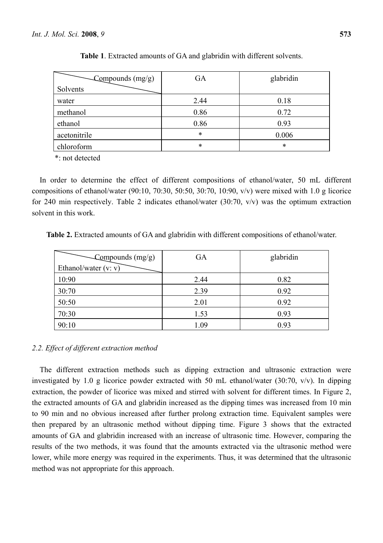| $\sim$ Compounds (mg/g) | <b>GA</b> | glabridin |
|-------------------------|-----------|-----------|
| Solvents                |           |           |
| water                   | 2.44      | 0.18      |
| methanol                | 0.86      | 0.72      |
| ethanol                 | 0.86      | 0.93      |
| acetonitrile            | $\ast$    | 0.006     |
| chloroform              | $\ast$    | *         |

**Table 1**. Extracted amounts of GA and glabridin with different solvents.

\*: not detected

In order to determine the effect of different compositions of ethanol/water, 50 mL different compositions of ethanol/water (90:10, 70:30, 50:50, 30:70, 10:90, v/v) were mixed with 1.0 g licorice for 240 min respectively. Table 2 indicates ethanol/water (30:70, v/v) was the optimum extraction solvent in this work.

**Table 2.** Extracted amounts of GA and glabridin with different compositions of ethanol/water.

| $\sim$ Compounds (mg/g) | GA   | glabridin |
|-------------------------|------|-----------|
| Ethanol/water $(v: v)$  |      |           |
| 10:90                   | 2.44 | 0.82      |
| 30:70                   | 2.39 | 0.92      |
| 50:50                   | 2.01 | 0.92      |
| 70:30                   | 1.53 | 0.93      |
| 90:10                   | 1.09 | 0.93      |

## *2.2. Effect of different extraction method*

The different extraction methods such as dipping extraction and ultrasonic extraction were investigated by 1.0 g licorice powder extracted with 50 mL ethanol/water (30:70, v/v). In dipping extraction, the powder of licorice was mixed and stirred with solvent for different times. In Figure 2, the extracted amounts of GA and glabridin increased as the dipping times was increased from 10 min to 90 min and no obvious increased after further prolong extraction time. Equivalent samples were then prepared by an ultrasonic method without dipping time. Figure 3 shows that the extracted amounts of GA and glabridin increased with an increase of ultrasonic time. However, comparing the results of the two methods, it was found that the amounts extracted via the ultrasonic method were lower, while more energy was required in the experiments. Thus, it was determined that the ultrasonic method was not appropriate for this approach.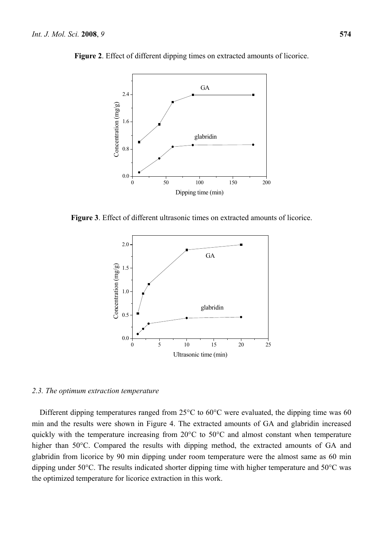

**Figure 2**. Effect of different dipping times on extracted amounts of licorice.

**Figure 3**. Effect of different ultrasonic times on extracted amounts of licorice.



#### *2.3. The optimum extraction temperature*

Different dipping temperatures ranged from 25°C to 60°C were evaluated, the dipping time was 60 min and the results were shown in Figure 4. The extracted amounts of GA and glabridin increased quickly with the temperature increasing from 20°C to 50°C and almost constant when temperature higher than 50°C. Compared the results with dipping method, the extracted amounts of GA and glabridin from licorice by 90 min dipping under room temperature were the almost same as 60 min dipping under 50°C. The results indicated shorter dipping time with higher temperature and 50°C was the optimized temperature for licorice extraction in this work.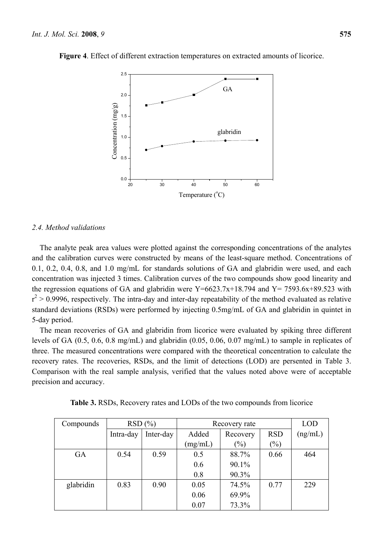

**Figure 4**. Effect of different extraction temperatures on extracted amounts of licorice.

### *2.4. Method validations*

The analyte peak area values were plotted against the corresponding concentrations of the analytes and the calibration curves were constructed by means of the least-square method. Concentrations of 0.1, 0.2, 0.4, 0.8, and 1.0 mg/mL for standards solutions of GA and glabridin were used, and each concentration was injected 3 times. Calibration curves of the two compounds show good linearity and the regression equations of GA and glabridin were  $Y=6623.7x+18.794$  and  $Y=7593.6x+89.523$  with  $r^2 > 0.9996$ , respectively. The intra-day and inter-day repeatability of the method evaluated as relative standard deviations (RSDs) were performed by injecting 0.5mg/mL of GA and glabridin in quintet in 5-day period.

The mean recoveries of GA and glabridin from licorice were evaluated by spiking three different levels of GA (0.5, 0.6, 0.8 mg/mL) and glabridin (0.05, 0.06, 0.07 mg/mL) to sample in replicates of three. The measured concentrations were compared with the theoretical concentration to calculate the recovery rates. The recoveries, RSDs, and the limit of detections (LOD) are persented in Table 3. Comparison with the real sample analysis, verified that the values noted above were of acceptable precision and accuracy.

| Compounds | RSD(%)    |           | Recovery rate |          | <b>LOD</b> |         |
|-----------|-----------|-----------|---------------|----------|------------|---------|
|           | Intra-day | Inter-day | Added         | Recovery | <b>RSD</b> | (ng/mL) |
|           |           |           | (mg/mL)       | $(\%)$   | $(\%)$     |         |
| <b>GA</b> | 0.54      | 0.59      | 0.5           | 88.7%    | 0.66       | 464     |
|           |           |           | 0.6           | 90.1%    |            |         |
|           |           |           | 0.8           | 90.3%    |            |         |
| glabridin | 0.83      | 0.90      | 0.05          | 74.5%    | 0.77       | 229     |
|           |           |           | 0.06          | 69.9%    |            |         |
|           |           |           | 0.07          | 73.3%    |            |         |

**Table 3.** RSDs, Recovery rates and LODs of the two compounds from licorice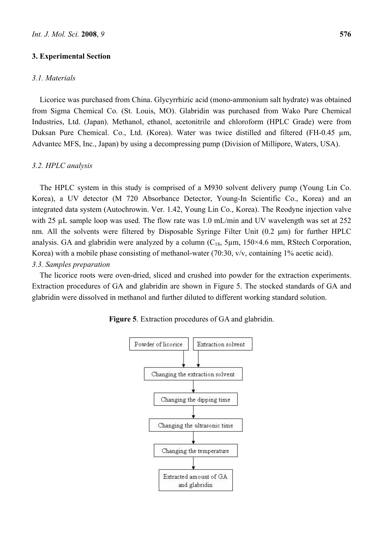#### **3. Experimental Section**

#### *3.1. Materials*

Licorice was purchased from China. Glycyrrhizic acid (mono-ammonium salt hydrate) was obtained from Sigma Chemical Co. (St. Louis, MO). Glabridin was purchased from Wako Pure Chemical Industries, Ltd. (Japan). Methanol, ethanol, acetonitrile and chloroform (HPLC Grade) were from Duksan Pure Chemical. Co., Ltd. (Korea). Water was twice distilled and filtered (FH-0.45 µm, Advantec MFS, Inc., Japan) by using a decompressing pump (Division of Millipore, Waters, USA).

#### *3.2. HPLC analysis*

The HPLC system in this study is comprised of a M930 solvent delivery pump (Young Lin Co. Korea), a UV detector (M 720 Absorbance Detector, Young-In Scientific Co., Korea) and an integrated data system (Autochrowin. Ver. 1.42, Young Lin Co., Korea). The Reodyne injection valve with 25  $\mu$ L sample loop was used. The flow rate was 1.0 mL/min and UV wavelength was set at 252 nm. All the solvents were filtered by Disposable Syringe Filter Unit (0.2 μm) for further HPLC analysis. GA and glabridin were analyzed by a column  $(C_{18}, 5\mu m, 150 \times 4.6 \text{ mm}, R\text{Stech Corporation},$ Korea) with a mobile phase consisting of methanol-water (70:30, v/v, containing 1% acetic acid). *3.3. Samples preparation* 

The licorice roots were oven-dried, sliced and crushed into powder for the extraction experiments. Extraction procedures of GA and glabridin are shown in Figure 5. The stocked standards of GA and glabridin were dissolved in methanol and further diluted to different working standard solution.



**Figure 5**. Extraction procedures of GA and glabridin.